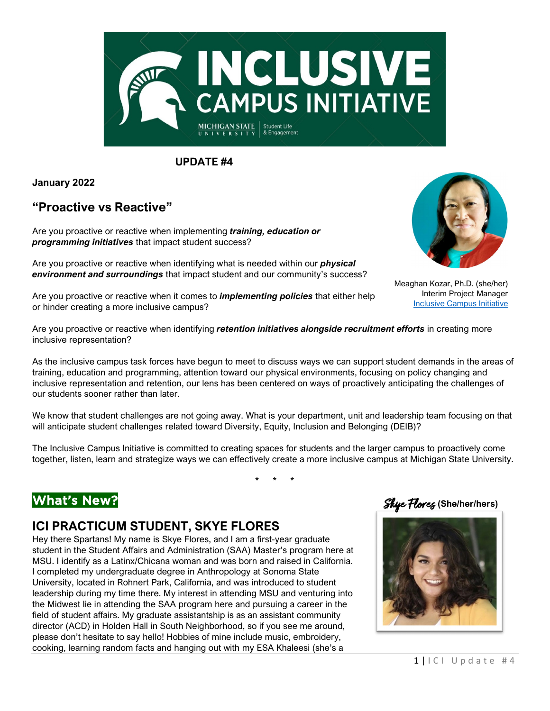

**UPDATE #4**

**January 2022**

## **"Proactive vs Reactive"**

Are you proactive or reactive when implementing *training, education or programming initiatives* that impact student success?

Are you proactive or reactive when identifying what is needed within our *physical environment and surroundings* that impact student and our community's success?



Meaghan Kozar, Ph.D. (she/her) Interim Project Manager [Inclusive Campus Initiative](https://ocat.msu.edu/inclusive-campus-initiative/)

Are you proactive or reactive when it comes to *implementing policies* that either help or hinder creating a more inclusive campus?

Are you proactive or reactive when identifying *retention initiatives alongside recruitment efforts* in creating more inclusive representation?

As the inclusive campus task forces have begun to meet to discuss ways we can support student demands in the areas of training, education and programming, attention toward our physical environments, focusing on policy changing and inclusive representation and retention, our lens has been centered on ways of proactively anticipating the challenges of our students sooner rather than later.

We know that student challenges are not going away. What is your department, unit and leadership team focusing on that will anticipate student challenges related toward Diversity, Equity, Inclusion and Belonging (DEIB)?

The Inclusive Campus Initiative is committed to creating spaces for students and the larger campus to proactively come together, listen, learn and strategize ways we can effectively create a more inclusive campus at Michigan State University.

\* \* \*

# What's New?

## **ICI PRACTICUM STUDENT, SKYE FLORES**

Hey there Spartans! My name is Skye Flores, and I am a first-year graduate student in the Student Affairs and Administration (SAA) Master's program here at MSU. I identify as a Latinx/Chicana woman and was born and raised in California. I completed my undergraduate degree in Anthropology at Sonoma State University, located in Rohnert Park, California, and was introduced to student leadership during my time there. My interest in attending MSU and venturing into the Midwest lie in attending the SAA program here and pursuing a career in the field of student affairs. My graduate assistantship is as an assistant community director (ACD) in Holden Hall in South Neighborhood, so if you see me around, please don't hesitate to say hello! Hobbies of mine include music, embroidery, cooking, learning random facts and hanging out with my ESA Khaleesi (she's a



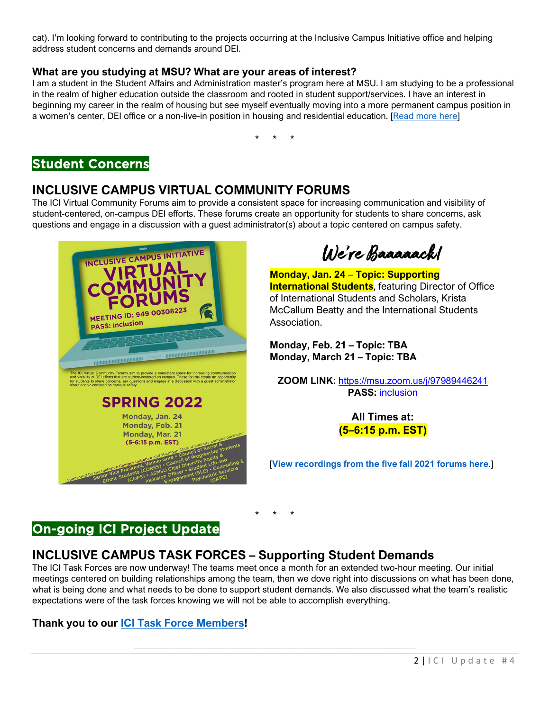cat). I'm looking forward to contributing to the projects occurring at the Inclusive Campus Initiative office and helping address student concerns and demands around DEI.

#### **What are you studying at MSU? What are your areas of interest?**

I am a student in the Student Affairs and Administration master's program here at MSU. I am studying to be a professional in the realm of higher education outside the classroom and rooted in student support/services. I have an interest in beginning my career in the realm of housing but see myself eventually moving into a more permanent campus position in a women's center, DEI office or a non-live-in position in housing and residential education. [\[Read more here\]](https://ocat.msu.edu/inclusive-campus-initiative/skye/)

\* \* \*

## Student Concerns

### **INCLUSIVE CAMPUS VIRTUAL COMMUNITY FORUMS**

The ICI Virtual Community Forums aim to provide a consistent space for increasing communication and visibility of student-centered, on-campus DEI efforts. These forums create an opportunity for students to share concerns, ask questions and engage in a discussion with a guest administrator(s) about a topic centered on campus safety.



We're Baaaaack!

**Monday, Jan. 24** – **Topic: Supporting International Students**, featuring Director of Office of International Students and Scholars, Krista McCallum Beatty and the International Students Association.

**Monday, Feb. 21 – Topic: TBA Monday, March 21 – Topic: TBA**

**ZOOM LINK:** <https://msu.zoom.us/j/97989446241> **PASS:** inclusion

> **All Times at: (5–6:15 p.m. EST)**

[**[View recordings from the five fall 2021 forums here](https://ocat.msu.edu/ici-virtual-community-forums/)**.]

# On-going ICI Project Update

# **INCLUSIVE CAMPUS TASK FORCES – Supporting Student Demands**

The ICI Task Forces are now underway! The teams meet once a month for an extended two-hour meeting. Our initial meetings centered on building relationships among the team, then we dove right into discussions on what has been done, what is being done and what needs to be done to support student demands. We also discussed what the team's realistic expectations were of the task forces knowing we will not be able to accomplish everything.

\* \* \*

#### **Thank you to our [ICI Task Force Members!](https://ocat.msu.edu/ici-task-forces/)**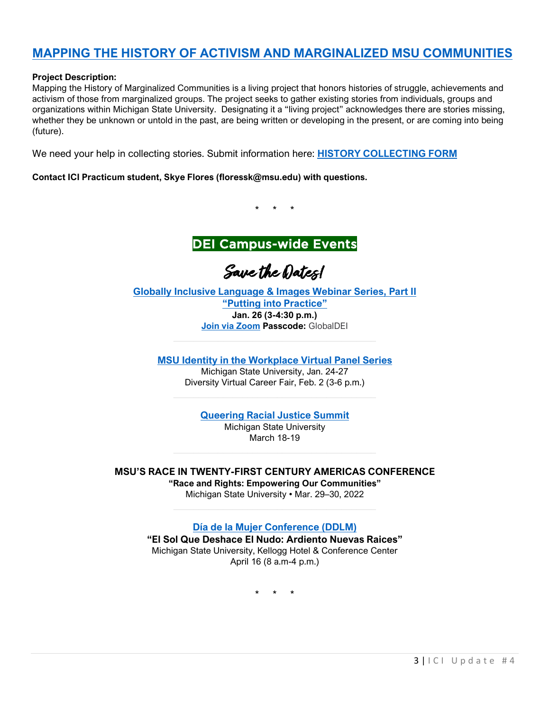## **[MAPPING THE HISTORY OF ACTIVISM AND MARGINALIZED MSU COMMUNITIES](https://ocat.msu.edu/mapping-the-history-of-activism-and-marginalized-msu-communities/)**

#### **Project Description:**

Mapping the History of Marginalized Communities is a living project that honors histories of struggle, achievements and activism of those from marginalized groups. The project seeks to gather existing stories from individuals, groups and organizations within Michigan State University. Designating it a "living project" acknowledges there are stories missing, whether they be unknown or untold in the past, are being written or developing in the present, or are coming into being (future).

We need your help in collecting stories. Submit information here: **[HISTORY COLLECTING FORM](https://docs.google.com/forms/d/e/1FAIpQLSeWdlJOxLilORzKZbPEyAwNwFQliVJv7DgPuUvTaxSXTb3uvQ/viewform)**

**Contact ICI Practicum student, Skye Flores [\(floressk@msu.edu\)](mailto:floressk@msu.edu) with questions.** 

\* \* \*



Save the Dates!

**[Globally Inclusive Language & Images Webinar Series, Part II](https://www.isp.msu.edu/about/dei/global-dei-webinars/)  ["Putting into Practice"](https://www.isp.msu.edu/about/dei/global-dei-webinars/) Jan. 26 (3-4:30 p.m.) [Join via Zoom](https://msu.zoom.us/j/94867854480?pwd=dFI2aFd0OU8wQ0sweXVPaUJlakhiZz09) Passcode:** GlobalDEI

**[MSU Identity in the Workplace Virtual Panel Series](https://careernetwork.msu.edu/events/)**

Michigan State University, Jan. 24-27 Diversity Virtual Career Fair, Feb. 2 (3-6 p.m.)

**[Queering Racial Justice Summit](https://gscc.msu.edu/programs/QueeringRacialJusticeSummit.html)**

Michigan State University March 18-19

**MSU'S RACE IN TWENTY-FIRST CENTURY AMERICAS CONFERENCE** 

**"Race and Rights: Empowering Our Communities"** Michigan State University • Mar. 29–30, 2022

**[Día de la Mujer Conference \(DDLM\)](http://ddlm.ocat.msu.edu/)**

**"El Sol Que Deshace El Nudo: Ardiento Nuevas Raices"** Michigan State University, Kellogg Hotel & Conference Center April 16 (8 a.m-4 p.m.)

\* \* \*